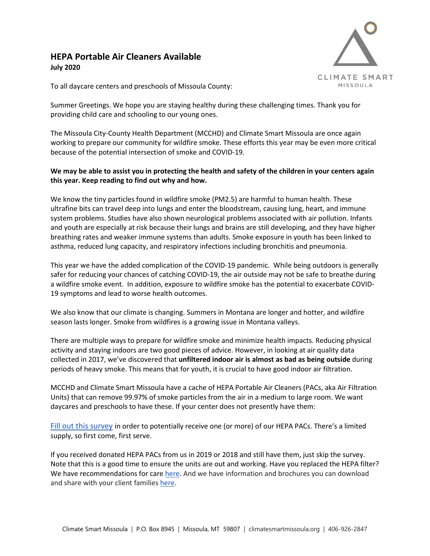## **HEPA Portable Air Cleaners Available July 2020**



To all daycare centers and preschools of Missoula County:

Summer Greetings. We hope you are staying healthy during these challenging times. Thank you for providing child care and schooling to our young ones.

The Missoula City-County Health Department (MCCHD) and Climate Smart Missoula are once again working to prepare our community for wildfire smoke. These efforts this year may be even more critical because of the potential intersection of smoke and COVID-19.

## **We may be able to assist you in protecting the health and safety of the children in your centers again this year. Keep reading to find out why and how.**

We know the tiny particles found in wildfire smoke (PM2.5) are harmful to human health. These ultrafine bits can travel deep into lungs and enter the bloodstream, causing lung, heart, and immune system problems. Studies have also shown neurological problems associated with air pollution. Infants and youth are especially at risk because their lungs and brains are still developing, and they have higher breathing rates and weaker immune systems than adults. Smoke exposure in youth has been linked to asthma, reduced lung capacity, and respiratory infections including bronchitis and pneumonia.

This year we have the added complication of the COVID-19 pandemic. While being outdoors is generally safer for reducing your chances of catching COVID-19, the air outside may not be safe to breathe during a wildfire smoke event. In addition, exposure to wildfire smoke has the potential to exacerbate COVID-19 symptoms and lead to worse health outcomes.

We also know that our climate is changing. Summers in Montana are longer and hotter, and wildfire season lasts longer. Smoke from wildfires is a growing issue in Montana valleys.

There are multiple ways to prepare for wildfire smoke and minimize health impacts. Reducing physical activity and staying indoors are two good pieces of advice. However, in looking at air quality data collected in 2017, we've discovered that **unfiltered indoor air is almost as bad as being outside** during periods of heavy smoke. This means that for youth, it is crucial to have good indoor air filtration.

MCCHD and Climate Smart Missoula have a cache of HEPA Portable Air Cleaners (PACs, aka Air Filtration Units) that can remove 99.97% of smoke particles from the air in a medium to large room. We want daycares and preschools to have these. If your center does not presently have them:

[Fill](https://docs.google.com/forms/d/e/1FAIpQLSe-v9ixZRq-4jbFZZkxm4kAPaP-eW9g8YzDMAeBCPYSRUoJmg/viewform?usp=sf_link) [out this survey](https://docs.google.com/forms/d/e/1FAIpQLSe-v9ixZRq-4jbFZZkxm4kAPaP-eW9g8YzDMAeBCPYSRUoJmg/viewform?usp=sf_link) in order to potentially receive one (or more) of our HEPA PACs. There's a limited supply, so first come, first serve.

If you received donated HEPA PACs from us in 2019 or 2018 and still have them, just skip the survey. Note that this is a good time to ensure the units are out and working. Have you replaced the HEPA filter? We have recommendations for care [here.](https://www.montanawildfiresmoke.org/hepa-filters.html) And we have information and brochures you can download and share with your client families [here.](https://www.missoulaclimate.org/shareable-products.html)